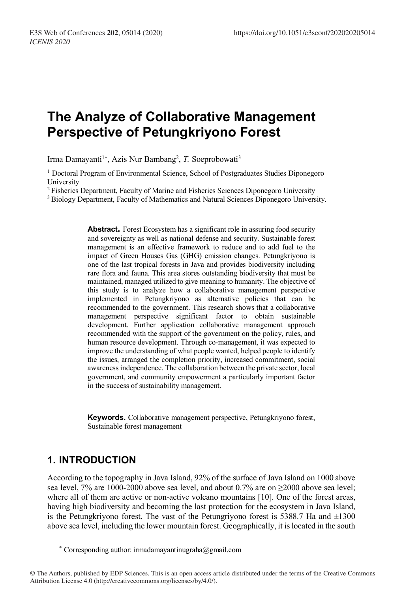# **The Analyze of Collaborative Management Perspective of Petungkriyono Forest**

Irma Damayanti<sup>1\*</sup>, Azis Nur Bambang<sup>2</sup>, T. Soeprobowati<sup>3</sup>

<sup>1</sup> Doctoral Program of Environmental Science, School of Postgraduates Studies Diponegoro University

<sup>2</sup> Fisheries Department, Faculty of Marine and Fisheries Sciences Diponegoro University 3 Biology Department, Faculty of Mathematics and Natural Sciences Diponegoro University.

> Abstract. Forest Ecosystem has a significant role in assuring food security and sovereignty as well as national defense and security. Sustainable forest management is an effective framework to reduce and to add fuel to the impact of Green Houses Gas (GHG) emission changes. Petungkriyono is one of the last tropical forests in Java and provides biodiversity including rare flora and fauna. This area stores outstanding biodiversity that must be maintained, managed utilized to give meaning to humanity. The objective of this study is to analyze how a collaborative management perspective implemented in Petungkriyono as alternative policies that can be recommended to the government. This research shows that a collaborative management perspective significant factor to obtain sustainable development. Further application collaborative management approach recommended with the support of the government on the policy, rules, and human resource development. Through co-management, it was expected to improve the understanding of what people wanted, helped people to identify the issues, arranged the completion priority, increased commitment, social awareness independence. The collaboration between the private sector, local government, and community empowerment a particularly important factor in the success of sustainability management.

> **Keywords.** Collaborative management perspective, Petungkriyono forest, Sustainable forest management

# **1. INTRODUCTION**

-

According to the topography in Java Island, 92% of the surface of Java Island on 1000 above sea level,  $7\%$  are 1000-2000 above sea level, and about 0.7% are on  $\geq$ 2000 above sea level; where all of them are active or non-active volcano mountains [10]. One of the forest areas, having high biodiversity and becoming the last protection for the ecosystem in Java Island, is the Petungkriyono forest. The vast of the Petungriyono forest is 5388.7 Ha and  $\pm 1300$ above sea level, including the lower mountain forest. Geographically, it is located in the south

<sup>\*</sup> Corresponding author: irmadamayantinugraha@gmail.com

<sup>©</sup> The Authors, published by EDP Sciences. This is an open access article distributed under the terms of the Creative Commons Attribution License 4.0 (http://creativecommons.org/licenses/by/4.0/).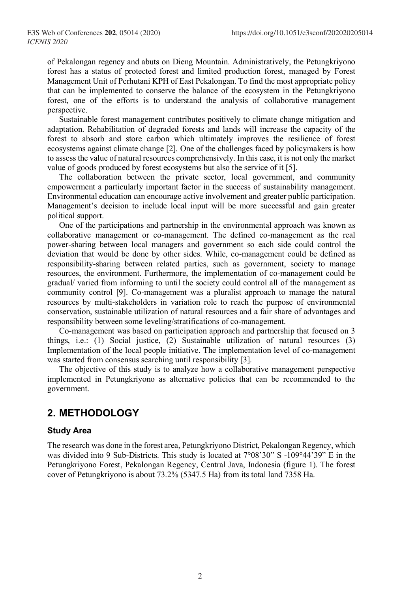of Pekalongan regency and abuts on Dieng Mountain. Administratively, the Petungkriyono forest has a status of protected forest and limited production forest, managed by Forest Management Unit of Perhutani KPH of East Pekalongan. To find the most appropriate policy that can be implemented to conserve the balance of the ecosystem in the Petungkriyono forest, one of the efforts is to understand the analysis of collaborative management perspective.

Sustainable forest management contributes positively to climate change mitigation and adaptation. Rehabilitation of degraded forests and lands will increase the capacity of the forest to absorb and store carbon which ultimately improves the resilience of forest ecosystems against climate change [2]. One of the challenges faced by policymakers is how to assess the value of natural resources comprehensively. In this case, it is not only the market value of goods produced by forest ecosystems but also the service of it [5].

The collaboration between the private sector, local government, and community empowerment a particularly important factor in the success of sustainability management. Environmental education can encourage active involvement and greater public participation. Management's decision to include local input will be more successful and gain greater political support.

One of the participations and partnership in the environmental approach was known as collaborative management or co-management. The defined co-management as the real power-sharing between local managers and government so each side could control the deviation that would be done by other sides. While, co-management could be defined as responsibility-sharing between related parties, such as government, society to manage resources, the environment. Furthermore, the implementation of co-management could be gradual/ varied from informing to until the society could control all of the management as community control [9]. Co-management was a pluralist approach to manage the natural resources by multi-stakeholders in variation role to reach the purpose of environmental conservation, sustainable utilization of natural resources and a fair share of advantages and responsibility between some leveling/stratifications of co-management.

Co-management was based on participation approach and partnership that focused on 3 things, i.e.: (1) Social justice, (2) Sustainable utilization of natural resources (3) Implementation of the local people initiative. The implementation level of co-management was started from consensus searching until responsibility [3].

The objective of this study is to analyze how a collaborative management perspective implemented in Petungkriyono as alternative policies that can be recommended to the government.

## **2. METHODOLOGY**

#### **Study Area**

The research was done in the forest area, Petungkriyono District, Pekalongan Regency, which was divided into 9 Sub-Districts. This study is located at 7°08'30" S -109°44'39" E in the Petungkriyono Forest, Pekalongan Regency, Central Java, Indonesia (figure 1). The forest cover of Petungkriyono is about 73.2% (5347.5 Ha) from its total land 7358 Ha.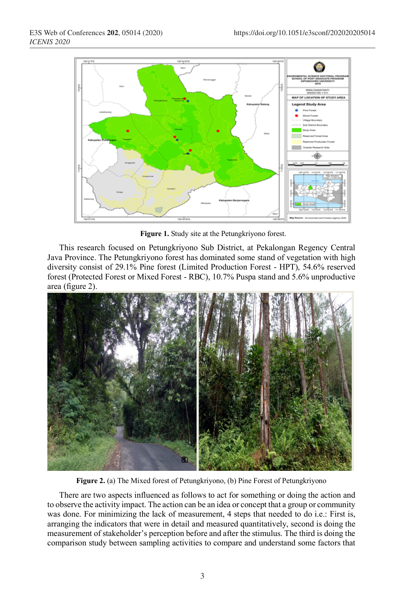

**Figure 1.** Study site at the Petungkriyono forest.

This research focused on Petungkriyono Sub District, at Pekalongan Regency Central Java Province. The Petungkriyono forest has dominated some stand of vegetation with high diversity consist of 29.1% Pine forest (Limited Production Forest - HPT), 54.6% reserved forest (Protected Forest or Mixed Forest - RBC), 10.7% Puspa stand and 5.6% unproductive area (figure 2).



**Figure 2.** (a) The Mixed forest of Petungkriyono, (b) Pine Forest of Petungkriyono

There are two aspects influenced as follows to act for something or doing the action and to observe the activity impact. The action can be an idea or concept that a group or community was done. For minimizing the lack of measurement, 4 steps that needed to do i.e.: First is, arranging the indicators that were in detail and measured quantitatively, second is doing the measurement of stakeholder's perception before and after the stimulus. The third is doing the comparison study between sampling activities to compare and understand some factors that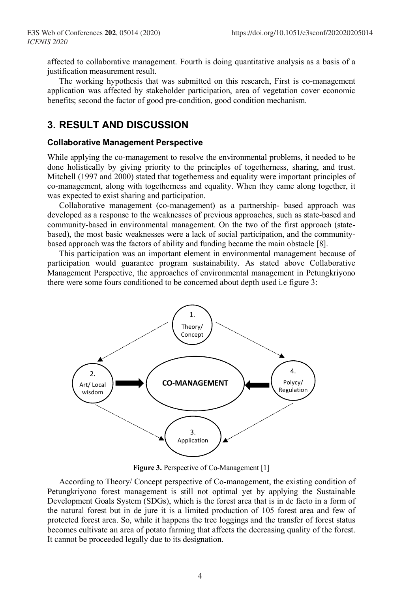affected to collaborative management. Fourth is doing quantitative analysis as a basis of a justification measurement result.

The working hypothesis that was submitted on this research, First is co-management application was affected by stakeholder participation, area of vegetation cover economic benefits; second the factor of good pre-condition, good condition mechanism.

### **3. RESULT AND DISCUSSION**

#### **Collaborative Management Perspective**

While applying the co-management to resolve the environmental problems, it needed to be done holistically by giving priority to the principles of togetherness, sharing, and trust. Mitchell (1997 and 2000) stated that togetherness and equality were important principles of co-management, along with togetherness and equality. When they came along together, it was expected to exist sharing and participation.

Collaborative management (co-management) as a partnership- based approach was developed as a response to the weaknesses of previous approaches, such as state-based and community-based in environmental management. On the two of the first approach (statebased), the most basic weaknesses were a lack of social participation, and the communitybased approach was the factors of ability and funding became the main obstacle [8].

This participation was an important element in environmental management because of participation would guarantee program sustainability. As stated above Collaborative Management Perspective, the approaches of environmental management in Petungkriyono there were some fours conditioned to be concerned about depth used i.e figure 3:



**Figure 3.** Perspective of Co-Management [1]

According to Theory/ Concept perspective of Co-management, the existing condition of Petungkriyono forest management is still not optimal yet by applying the Sustainable Development Goals System (SDGs), which is the forest area that is in de facto in a form of the natural forest but in de jure it is a limited production of 105 forest area and few of protected forest area. So, while it happens the tree loggings and the transfer of forest status becomes cultivate an area of potato farming that affects the decreasing quality of the forest. It cannot be proceeded legally due to its designation.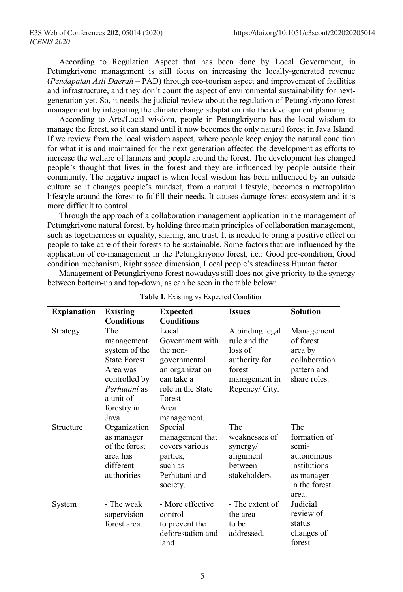According to Regulation Aspect that has been done by Local Government, in Petungkriyono management is still focus on increasing the locally-generated revenue (*Pendapatan Asli Daerah* – PAD) through eco-tourism aspect and improvement of facilities and infrastructure, and they don't count the aspect of environmental sustainability for nextgeneration yet. So, it needs the judicial review about the regulation of Petungkriyono forest management by integrating the climate change adaptation into the development planning.

According to Arts/Local wisdom, people in Petungkriyono has the local wisdom to manage the forest, so it can stand until it now becomes the only natural forest in Java Island. If we review from the local wisdom aspect, where people keep enjoy the natural condition for what it is and maintained for the next generation affected the development as efforts to increase the welfare of farmers and people around the forest. The development has changed people's thought that lives in the forest and they are influenced by people outside their community. The negative impact is when local wisdom has been influenced by an outside culture so it changes people's mindset, from a natural lifestyle, becomes a metropolitan lifestyle around the forest to fulfill their needs. It causes damage forest ecosystem and it is more difficult to control.

Through the approach of a collaboration management application in the management of Petungkriyono natural forest, by holding three main principles of collaboration management, such as togetherness or equality, sharing, and trust. It is needed to bring a positive effect on people to take care of their forests to be sustainable. Some factors that are influenced by the application of co-management in the Petungkriyono forest, i.e.: Good pre-condition, Good condition mechanism, Right space dimension, Local people's steadiness Human factor.

Management of Petungkriyono forest nowadays still does not give priority to the synergy between bottom-up and top-down, as can be seen in the table below:

| <b>Explanation</b> | <b>Existing</b><br><b>Conditions</b>                                                                                                       | <b>Expected</b><br><b>Conditions</b>                                                                                                        | <b>Issues</b>                                                                                           | <b>Solution</b>                                                                                    |
|--------------------|--------------------------------------------------------------------------------------------------------------------------------------------|---------------------------------------------------------------------------------------------------------------------------------------------|---------------------------------------------------------------------------------------------------------|----------------------------------------------------------------------------------------------------|
| Strategy           | The<br>management<br>system of the<br><b>State Forest</b><br>Area was<br>controlled by<br>Perhutani as<br>a unit of<br>forestry in<br>Java | Local<br>Government with<br>the non-<br>governmental<br>an organization<br>can take a<br>role in the State<br>Forest<br>Area<br>management. | A binding legal<br>rule and the<br>loss of<br>authority for<br>forest<br>management in<br>Regency/City. | Management<br>of forest<br>area by<br>collaboration<br>pattern and<br>share roles.                 |
| Structure          | Organization<br>as manager<br>of the forest<br>area has<br>different<br>authorities                                                        | Special<br>management that<br>covers various<br>parties,<br>such as<br>Perhutani and<br>society.                                            | The<br>weaknesses of<br>synergy/<br>alignment<br>between<br>stakeholders.                               | The<br>formation of<br>semi-<br>autonomous<br>institutions<br>as manager<br>in the forest<br>area. |
| System             | - The weak<br>supervision<br>forest area.                                                                                                  | - More effective<br>control<br>to prevent the<br>deforestation and<br>land                                                                  | - The extent of<br>the area<br>to be<br>addressed.                                                      | Judicial<br>review of<br>status<br>changes of<br>forest                                            |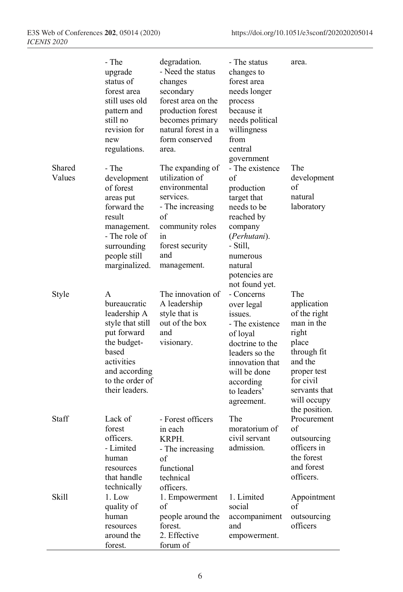|                  | - The<br>upgrade<br>status of<br>forest area<br>still uses old<br>pattern and<br>still no<br>revision for<br>new<br>regulations.                                 | degradation.<br>- Need the status<br>changes<br>secondary<br>forest area on the<br>production forest<br>becomes primary<br>natural forest in a<br>form conserved<br>area. | - The status<br>changes to<br>forest area<br>needs longer<br>process<br>because it<br>needs political<br>willingness<br>from<br>central                                                        | area.                                                                                                                                                                     |
|------------------|------------------------------------------------------------------------------------------------------------------------------------------------------------------|---------------------------------------------------------------------------------------------------------------------------------------------------------------------------|------------------------------------------------------------------------------------------------------------------------------------------------------------------------------------------------|---------------------------------------------------------------------------------------------------------------------------------------------------------------------------|
| Shared<br>Values | - The<br>development<br>of forest<br>areas put<br>forward the<br>result<br>management.<br>- The role of<br>surrounding<br>people still<br>marginalized.          | The expanding of<br>utilization of<br>environmental<br>services.<br>- The increasing<br>of<br>community roles<br>in<br>forest security<br>and<br>management.              | government<br>- The existence<br>of<br>production<br>target that<br>needs to be<br>reached by<br>company<br>(Perhutani).<br>- Still,<br>numerous<br>natural<br>potencies are<br>not found yet. | The<br>development<br>of<br>natural<br>laboratory                                                                                                                         |
| Style            | A<br>bureaucratic<br>leadership A<br>style that still<br>put forward<br>the budget-<br>based<br>activities<br>and according<br>to the order of<br>their leaders. | The innovation of<br>A leadership<br>style that is<br>out of the box<br>and<br>visionary.                                                                                 | - Concerns<br>over legal<br>issues.<br>- The existence<br>of loyal<br>doctrine to the<br>leaders so the<br>innovation that<br>will be done<br>according<br>to leaders'<br>agreement.           | The<br>application<br>of the right<br>man in the<br>right<br>place<br>through fit<br>and the<br>proper test<br>for civil<br>servants that<br>will occupy<br>the position. |
| Staff            | Lack of<br>forest<br>officers.<br>- Limited<br>human<br>resources<br>that handle<br>technically                                                                  | - Forest officers<br>in each<br>KRPH.<br>- The increasing<br>of<br>functional<br>technical<br>officers.                                                                   | The<br>moratorium of<br>civil servant<br>admission.                                                                                                                                            | Procurement<br>of<br>outsourcing<br>officers in<br>the forest<br>and forest<br>officers.                                                                                  |
| <b>Skill</b>     | 1. Low<br>quality of<br>human<br>resources<br>around the<br>forest.                                                                                              | 1. Empowerment<br>of<br>people around the<br>forest.<br>2. Effective<br>forum of                                                                                          | 1. Limited<br>social<br>accompaniment<br>and<br>empowerment.                                                                                                                                   | Appointment<br>of<br>outsourcing<br>officers                                                                                                                              |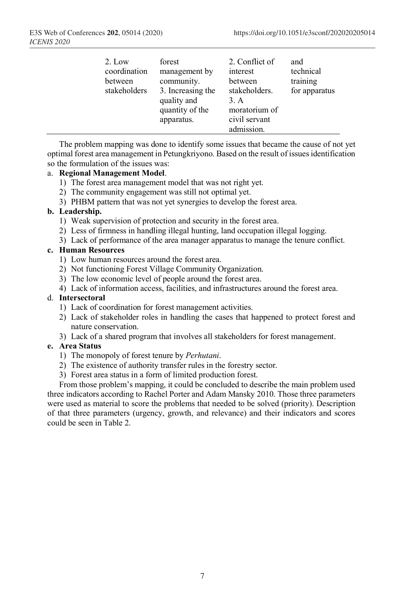| community.<br>between<br>between<br>3. Increasing the<br>stakeholders<br>quality and<br>3. A<br>quantity of the<br>apparatus. | for apparatus<br>stakeholders.<br>moratorium of<br>civil servant<br>admission. |
|-------------------------------------------------------------------------------------------------------------------------------|--------------------------------------------------------------------------------|
|-------------------------------------------------------------------------------------------------------------------------------|--------------------------------------------------------------------------------|

The problem mapping was done to identify some issues that became the cause of not yet optimal forest area management in Petungkriyono. Based on the result of issues identification so the formulation of the issues was:

#### a. **Regional Management Model**.

- 1) The forest area management model that was not right yet.
- 2) The community engagement was still not optimal yet.
- 3) PHBM pattern that was not yet synergies to develop the forest area.

#### **b. Leadership.**

- 1) Weak supervision of protection and security in the forest area.
- 2) Less of firmness in handling illegal hunting, land occupation illegal logging.
- 3) Lack of performance of the area manager apparatus to manage the tenure conflict.

#### **c. Human Resources**

- 1) Low human resources around the forest area.
- 2) Not functioning Forest Village Community Organization.
- 3) The low economic level of people around the forest area.
- 4) Lack of information access, facilities, and infrastructures around the forest area.

#### d. **Intersectoral**

- 1) Lack of coordination for forest management activities.
- 2) Lack of stakeholder roles in handling the cases that happened to protect forest and nature conservation.
- 3) Lack of a shared program that involves all stakeholders for forest management.

#### **e. Area Status**

- 1) The monopoly of forest tenure by *Perhutani*.
- 2) The existence of authority transfer rules in the forestry sector.
- 3) Forest area status in a form of limited production forest.

From those problem's mapping, it could be concluded to describe the main problem used three indicators according to Rachel Porter and Adam Mansky 2010. Those three parameters were used as material to score the problems that needed to be solved (priority). Description of that three parameters (urgency, growth, and relevance) and their indicators and scores could be seen in Table 2.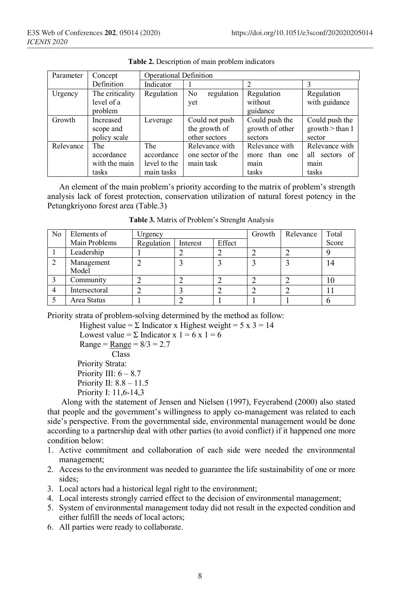| Parameter | Concept                                     | <b>Operational Definition</b>                   |                                                  |                                                  |                                                   |  |
|-----------|---------------------------------------------|-------------------------------------------------|--------------------------------------------------|--------------------------------------------------|---------------------------------------------------|--|
|           | Definition                                  | Indicator                                       |                                                  |                                                  |                                                   |  |
| Urgency   | The criticality<br>level of a<br>problem    | Regulation                                      | No<br>regulation<br>yet                          | Regulation<br>without<br>guidance                | Regulation<br>with guidance                       |  |
| Growth    | Increased<br>scope and<br>policy scale      | Leverage                                        | Could not push<br>the growth of<br>other sectors | Could push the<br>growth of other<br>sectors     | Could push the<br>growth > than 1<br>sector       |  |
| Relevance | The<br>accordance<br>with the main<br>tasks | The<br>accordance<br>level to the<br>main tasks | Relevance with<br>one sector of the<br>main task | Relevance with<br>more than one<br>main<br>tasks | Relevance with<br>all sectors of<br>main<br>tasks |  |

**Table 2.** Description of main problem indicators

An element of the main problem's priority according to the matrix of problem's strength analysis lack of forest protection, conservation utilization of natural forest potency in the Petungkriyono forest area (Table.3)

| N <sub>0</sub> | Elements of         | Urgency    |          |        | Growth | Relevance | Total |
|----------------|---------------------|------------|----------|--------|--------|-----------|-------|
|                | Main Problems       | Regulation | Interest | Effect |        |           | Score |
|                | Leadership          |            | ↵        |        |        |           |       |
| ∍              | Management<br>Model |            |          |        |        |           | 14    |
|                | Community           |            |          |        |        |           | 10    |
|                | Intersectoral       |            |          |        |        |           |       |
|                | Area Status         |            |          |        |        |           |       |

**Table 3.** Matrix of Problem's Strenght Analysis

Priority strata of problem-solving determined by the method as follow:

Highest value =  $\Sigma$  Indicator x Highest weight =  $5 \times 3 = 14$ Lowest value =  $\Sigma$  Indicator x 1 = 6 x 1 = 6  $Range = Range = 8/3 = 2.7$  Class Priority Strata: Priority III:  $6 - 8.7$ Priority II: 8.8 – 11.5 Priority I: 11,6-14,3

Along with the statement of Jensen and Nielsen (1997), Feyerabend (2000) also stated that people and the government's willingness to apply co-management was related to each side's perspective. From the governmental side, environmental management would be done according to a partnership deal with other parties (to avoid conflict) if it happened one more condition below:

- 1. Active commitment and collaboration of each side were needed the environmental management;
- 2. Access to the environment was needed to guarantee the life sustainability of one or more sides;
- 3. Local actors had a historical legal right to the environment;
- 4. Local interests strongly carried effect to the decision of environmental management;
- 5. System of environmental management today did not result in the expected condition and either fulfill the needs of local actors;
- 6. All parties were ready to collaborate.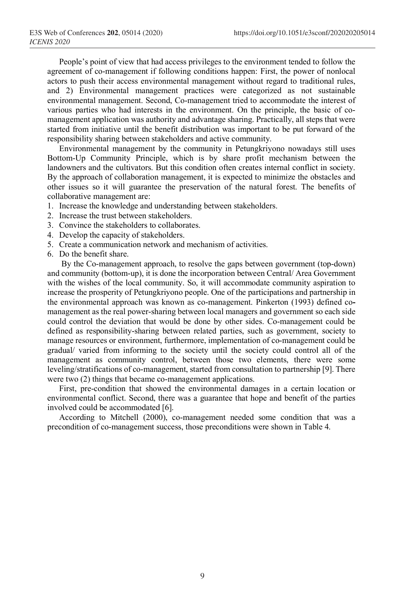People's point of view that had access privileges to the environment tended to follow the agreement of co-management if following conditions happen: First, the power of nonlocal actors to push their access environmental management without regard to traditional rules, and 2) Environmental management practices were categorized as not sustainable environmental management. Second, Co-management tried to accommodate the interest of various parties who had interests in the environment. On the principle, the basic of comanagement application was authority and advantage sharing. Practically, all steps that were started from initiative until the benefit distribution was important to be put forward of the responsibility sharing between stakeholders and active community.

Environmental management by the community in Petungkriyono nowadays still uses Bottom-Up Community Principle, which is by share profit mechanism between the landowners and the cultivators. But this condition often creates internal conflict in society. By the approach of collaboration management, it is expected to minimize the obstacles and other issues so it will guarantee the preservation of the natural forest. The benefits of collaborative management are:

- 1. Increase the knowledge and understanding between stakeholders.
- 2. Increase the trust between stakeholders.
- 3. Convince the stakeholders to collaborates.
- 4. Develop the capacity of stakeholders.
- 5. Create a communication network and mechanism of activities.
- 6. Do the benefit share.

By the Co-management approach, to resolve the gaps between government (top-down) and community (bottom-up), it is done the incorporation between Central/ Area Government with the wishes of the local community. So, it will accommodate community aspiration to increase the prosperity of Petungkriyono people. One of the participations and partnership in the environmental approach was known as co-management. Pinkerton (1993) defined comanagement as the real power-sharing between local managers and government so each side could control the deviation that would be done by other sides. Co-management could be defined as responsibility-sharing between related parties, such as government, society to manage resources or environment, furthermore, implementation of co-management could be gradual/ varied from informing to the society until the society could control all of the management as community control, between those two elements, there were some leveling/stratifications of co-management, started from consultation to partnership [9]. There were two (2) things that became co-management applications.

First, pre-condition that showed the environmental damages in a certain location or environmental conflict. Second, there was a guarantee that hope and benefit of the parties involved could be accommodated [6].

According to Mitchell (2000), co-management needed some condition that was a precondition of co-management success, those preconditions were shown in Table 4.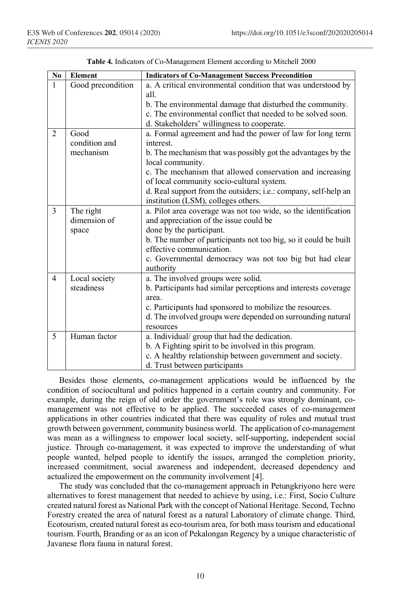| $\overline{\text{No}}$ | <b>Element</b>    | <b>Indicators of Co-Management Success Precondition</b>         |
|------------------------|-------------------|-----------------------------------------------------------------|
| 1                      | Good precondition | a. A critical environmental condition that was understood by    |
|                        |                   | all.                                                            |
|                        |                   | b. The environmental damage that disturbed the community.       |
|                        |                   | c. The environmental conflict that needed to be solved soon.    |
|                        |                   | d. Stakeholders' willingness to cooperate.                      |
| $\overline{2}$         | Good              | a. Formal agreement and had the power of law for long term      |
|                        | condition and     | interest                                                        |
|                        | mechanism         | b. The mechanism that was possibly got the advantages by the    |
|                        |                   | local community.                                                |
|                        |                   | c. The mechanism that allowed conservation and increasing       |
|                        |                   | of local community socio-cultural system.                       |
|                        |                   | d. Real support from the outsiders; i.e.: company, self-help an |
|                        |                   | institution (LSM), colleges others.                             |
| $\overline{3}$         | The right         | a. Pilot area coverage was not too wide, so the identification  |
|                        | dimension of      | and appreciation of the issue could be                          |
|                        | space             | done by the participant.                                        |
|                        |                   | b. The number of participants not too big, so it could be built |
|                        |                   | effective communication.                                        |
|                        |                   | c. Governmental democracy was not too big but had clear         |
|                        |                   | authority                                                       |
| $\overline{4}$         | Local society     | a. The involved groups were solid.                              |
|                        | steadiness        | b. Participants had similar perceptions and interests coverage  |
|                        |                   | area.                                                           |
|                        |                   | c. Participants had sponsored to mobilize the resources.        |
|                        |                   | d. The involved groups were depended on surrounding natural     |
|                        |                   | resources                                                       |
| 5                      | Human factor      | a. Individual/group that had the dedication.                    |
|                        |                   | b. A Fighting spirit to be involved in this program.            |
|                        |                   | c. A healthy relationship between government and society.       |
|                        |                   | d. Trust between participants                                   |

**Table 4.** Indicators of Co-Management Element according to Mitchell 2000

Besides those elements, co-management applications would be influenced by the condition of sociocultural and politics happened in a certain country and community. For example, during the reign of old order the government's role was strongly dominant, comanagement was not effective to be applied. The succeeded cases of co-management applications in other countries indicated that there was equality of roles and mutual trust growth between government, community business world. The application of co-management was mean as a willingness to empower local society, self-supporting, independent social justice. Through co-management, it was expected to improve the understanding of what people wanted, helped people to identify the issues, arranged the completion priority, increased commitment, social awareness and independent, decreased dependency and actualized the empowerment on the community involvement [4].

The study was concluded that the co-management approach in Petungkriyono here were alternatives to forest management that needed to achieve by using, i.e.: First, Socio Culture created natural forest as National Park with the concept of National Heritage. Second, Techno Forestry created the area of natural forest as a natural Laboratory of climate change. Third, Ecotourism, created natural forest as eco-tourism area, for both mass tourism and educational tourism. Fourth, Branding or as an icon of Pekalongan Regency by a unique characteristic of Javanese flora fauna in natural forest.